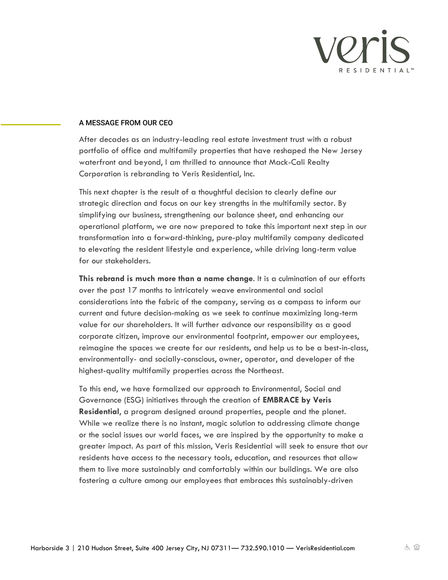

## A MESSAGE FROM OUR CEO

After decades as an industry-leading real estate investment trust with a robust portfolio of office and multifamily properties that have reshaped the New Jersey waterfront and beyond, I am thrilled to announce that Mack-Cali Realty Corporation is rebranding to Veris Residential, Inc.

This next chapter is the result of a thoughtful decision to clearly define our strategic direction and focus on our key strengths in the multifamily sector. By simplifying our business, strengthening our balance sheet, and enhancing our operational platform, we are now prepared to take this important next step in our transformation into a forward-thinking, pure-play multifamily company dedicated to elevating the resident lifestyle and experience, while driving long-term value for our stakeholders.

**This rebrand is much more than a name change**. It is a culmination of our efforts over the past 17 months to intricately weave environmental and social considerations into the fabric of the company, serving as a compass to inform our current and future decision-making as we seek to continue maximizing long-term value for our shareholders. It will further advance our responsibility as a good corporate citizen, improve our environmental footprint, empower our employees, reimagine the spaces we create for our residents, and help us to be a best-in-class, environmentally- and socially-conscious, owner, operator, and developer of the highest-quality multifamily properties across the Northeast.

To this end, we have formalized our approach to Environmental, Social and Governance (ESG) initiatives through the creation of **EMBRACE by Veris Residential**, a program designed around properties, people and the planet. While we realize there is no instant, magic solution to addressing climate change or the social issues our world faces, we are inspired by the opportunity to make a greater impact. As part of this mission, Veris Residential will seek to ensure that our residents have access to the necessary tools, education, and resources that allow them to live more sustainably and comfortably within our buildings. We are also fostering a culture among our employees that embraces this sustainably-driven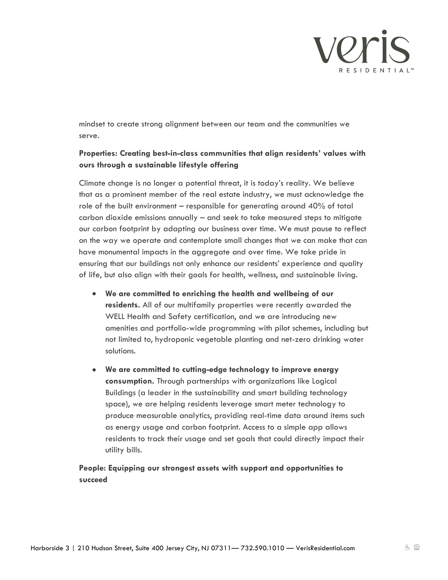

mindset to create strong alignment between our team and the communities we serve.

## **Properties: Creating best-in-class communities that align residents' values with ours through a sustainable lifestyle offering**

Climate change is no longer a potential threat, it is today's reality. We believe that as a prominent member of the real estate industry, we must acknowledge the role of the built environment – responsible for generating around 40% of total carbon dioxide emissions annually – and seek to take measured steps to mitigate our carbon footprint by adapting our business over time. We must pause to reflect on the way we operate and contemplate small changes that we can make that can have monumental impacts in the aggregate and over time. We take pride in ensuring that our buildings not only enhance our residents' experience and quality of life, but also align with their goals for health, wellness, and sustainable living.

- **We are committed to enriching the health and wellbeing of our residents.** All of our multifamily properties were recently awarded the WELL Health and Safety certification, and we are introducing new amenities and portfolio-wide programming with pilot schemes, including but not limited to, hydroponic vegetable planting and net-zero drinking water solutions.
- **We are committed to cutting-edge technology to improve energy consumption.** Through partnerships with organizations like Logical Buildings (a leader in the sustainability and smart building technology space), we are helping residents leverage smart meter technology to produce measurable analytics, providing real-time data around items such as energy usage and carbon footprint. Access to a simple app allows residents to track their usage and set goals that could directly impact their utility bills.

## **People: Equipping our strongest assets with support and opportunities to succeed**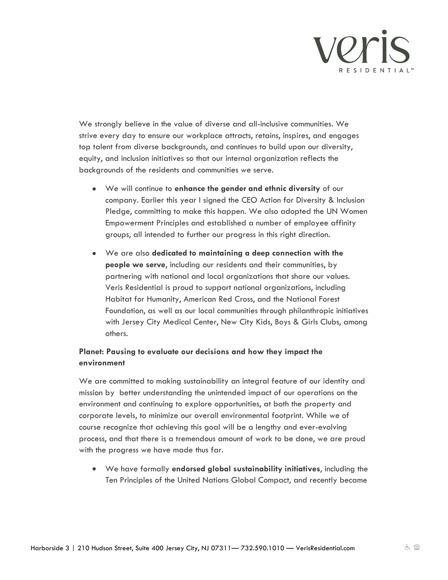

We strongly believe in the value of diverse and all-inclusive communities. We strive every day to ensure our workplace attracts, retains, inspires, and engages top talent from diverse backgrounds, and continues to build upon our diversity, equity, and inclusion initiatives so that our internal organization reflects the backgrounds of the residents and communities we serve.

- We will continue to **enhance the gender and ethnic diversity** of our company. Earlier this year I signed the CEO Action for Diversity & Inclusion Pledge, committing to make this happen. We also adopted the UN Women Empowerment Principles and established a number of employee affinity groups, all intended to further our progress in this right direction.
- We are also **dedicated to maintaining a deep connection with the people we serve**, including our residents and their communities, by partnering with national and local organizations that share our values. Veris Residential is proud to support national organizations, including Habitat for Humanity, American Red Cross, and the National Forest Foundation, as well as our local communities through philanthropic initiatives with Jersey City Medical Center, New City Kids, Boys & Girls Clubs, among others.

## **Planet: Pausing to evaluate our decisions and how they impact the environment**

We are committed to making sustainability an integral feature of our identity and mission by better understanding the unintended impact of our operations on the environment and continuing to explore opportunities, at both the property and corporate levels, to minimize our overall environmental footprint. While we of course recognize that achieving this goal will be a lengthy and ever-evolving process, and that there is a tremendous amount of work to be done, we are proud with the progress we have made thus far.

• We have formally **endorsed global sustainability initiatives**, including the Ten Principles of the United Nations Global Compact, and recently became